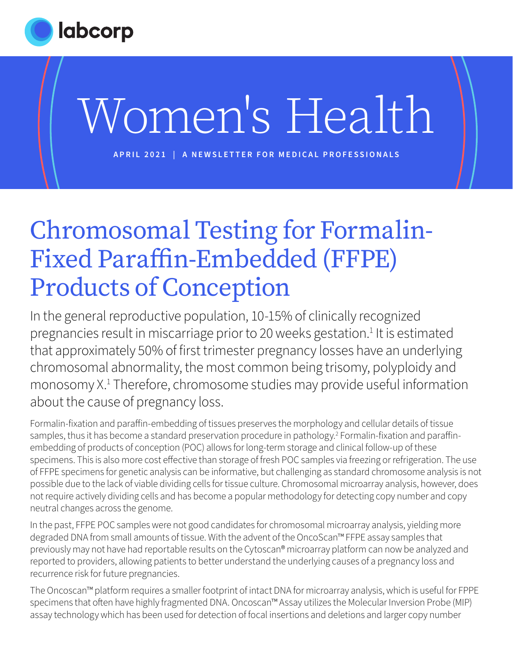

# Women's Health

**APRIL 2021 | A NEWSLETTER FOR MEDICAL PROFESSIONALS**

## Chromosomal Testing for Formalin-Fixed Paraffin-Embedded (FFPE) Products of Conception

In the general reproductive population, 10-15% of clinically recognized pregnancies result in miscarriage prior to 20 weeks gestation.<sup>1</sup> It is estimated that approximately 50% of first trimester pregnancy losses have an underlying chromosomal abnormality, the most common being trisomy, polyploidy and monosomy X.1 Therefore, chromosome studies may provide useful information about the cause of pregnancy loss.

Formalin-fixation and paraffin-embedding of tissues preserves the morphology and cellular details of tissue samples, thus it has become a standard preservation procedure in pathology.2 Formalin-fixation and paraffinembedding of products of conception (POC) allows for long-term storage and clinical follow-up of these specimens. This is also more cost effective than storage of fresh POC samples via freezing or refrigeration. The use of FFPE specimens for genetic analysis can be informative, but challenging as standard chromosome analysis is not possible due to the lack of viable dividing cells for tissue culture. Chromosomal microarray analysis, however, does not require actively dividing cells and has become a popular methodology for detecting copy number and copy neutral changes across the genome.

In the past, FFPE POC samples were not good candidates for chromosomal microarray analysis, yielding more degraded DNA from small amounts of tissue. With the advent of the OncoScan™ FFPE assay samples that previously may not have had reportable results on the Cytoscan® microarray platform can now be analyzed and reported to providers, allowing patients to better understand the underlying causes of a pregnancy loss and recurrence risk for future pregnancies.

The Oncoscan™ platform requires a smaller footprint of intact DNA for microarray analysis, which is useful for FPPE specimens that often have highly fragmented DNA. Oncoscan™ Assay utilizes the Molecular Inversion Probe (MIP) assay technology which has been used for detection of focal insertions and deletions and larger copy number